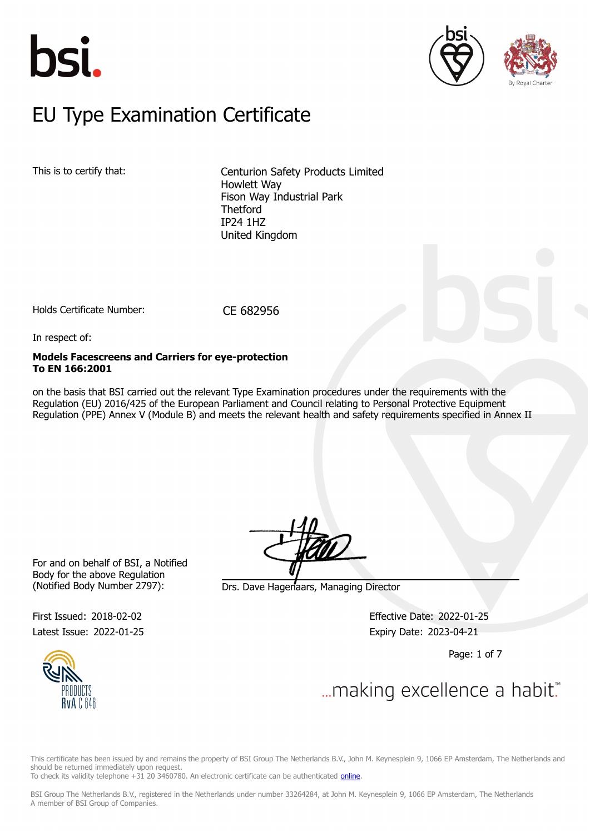





### $E$ U Type Examination Certific EU Type Examination Certificate

This is to certify that: Centurion Safety Products Limited Howlett Way Fison Way Industrial Park **Thetford** IP24 1HZ United Kingdom

Holds Certificate Number: CE 682956

In respect of:

### **Models Facescreens and Carriers for eye-protection To EN 166:2001**

on the basis that BSI carried out the relevant Type Examination procedures under the requirements with the Regulation (EU) 2016/425 of the European Parliament and Council relating to Personal Protective Equipment Regulation (PPE) Annex V (Module B) and meets the relevant health and safety requirements specified in Annex II

For and on behalf of BSI, a Notified Body for the above Regulation (Notified Body Number 2797): Drs. Dave Hagenaars, Managing Director

First Issued: 2018-02-02 Effective Date: 2022-01-25 Latest Issue: 2022-01-25 Expiry Date: 2023-04-21

Page: 1 of 7



... making excellence a habit.

This certificate has been issued by and remains the property of BSI Group The Netherlands B.V., John M. Keynesplein 9, 1066 EP Amsterdam, The Netherlands and should be returned immediately upon request.

To check its validity telephone +31 20 3460780. An electronic certificate can be authenticated *online*.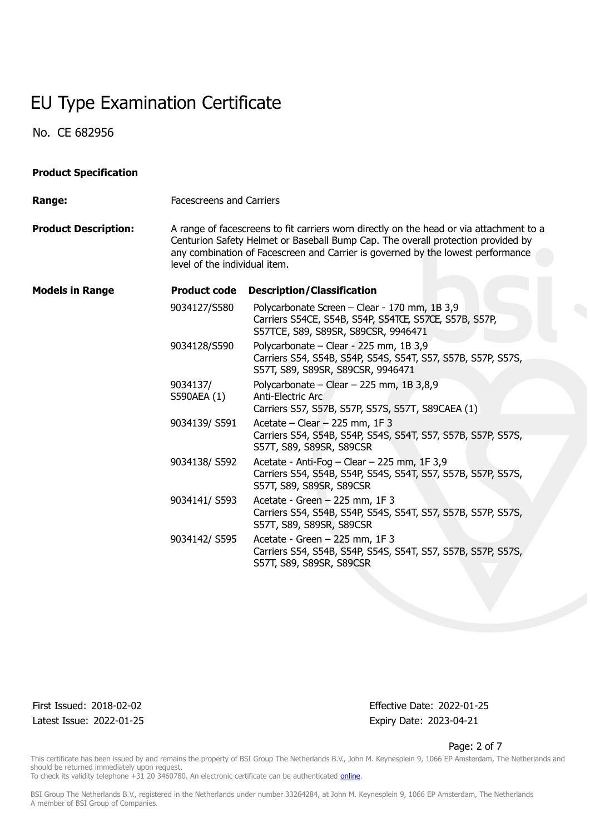No. CE 682956

| <b>Product Specification</b> |                                                                                                                                                                                                                                                                                                 |                                                                                                                                                |  |  |
|------------------------------|-------------------------------------------------------------------------------------------------------------------------------------------------------------------------------------------------------------------------------------------------------------------------------------------------|------------------------------------------------------------------------------------------------------------------------------------------------|--|--|
| Range:                       |                                                                                                                                                                                                                                                                                                 | <b>Facescreens and Carriers</b>                                                                                                                |  |  |
| <b>Product Description:</b>  | A range of facescreens to fit carriers worn directly on the head or via attachment to a<br>Centurion Safety Helmet or Baseball Bump Cap. The overall protection provided by<br>any combination of Facescreen and Carrier is governed by the lowest performance<br>level of the individual item. |                                                                                                                                                |  |  |
| <b>Models in Range</b>       | <b>Product code</b>                                                                                                                                                                                                                                                                             | <b>Description/Classification</b>                                                                                                              |  |  |
|                              | 9034127/S580                                                                                                                                                                                                                                                                                    | Polycarbonate Screen - Clear - 170 mm, 1B 3,9<br>Carriers S54CE, S54B, S54P, S54TCE, S57CE, S57B, S57P,<br>S57TCE, S89, S89SR, S89CSR, 9946471 |  |  |
|                              | 9034128/S590                                                                                                                                                                                                                                                                                    | Polycarbonate - Clear - 225 mm, 1B 3,9<br>Carriers S54, S54B, S54P, S54S, S54T, S57, S57B, S57P, S57S,<br>S57T, S89, S89SR, S89CSR, 9946471    |  |  |
|                              | 9034137/<br>S590AEA (1)                                                                                                                                                                                                                                                                         | Polycarbonate - Clear - 225 mm, 1B $3,8,9$<br>Anti-Electric Arc<br>Carriers S57, S57B, S57P, S57S, S57T, S89CAEA (1)                           |  |  |
|                              | 9034139/S591                                                                                                                                                                                                                                                                                    | Acetate $-$ Clear $-$ 225 mm, 1F 3<br>Carriers S54, S54B, S54P, S54S, S54T, S57, S57B, S57P, S57S,<br>S57T, S89, S89SR, S89CSR                 |  |  |
|                              | 9034138/S592                                                                                                                                                                                                                                                                                    | Acetate - Anti-Fog - Clear - 225 mm, 1F 3,9<br>Carriers S54, S54B, S54P, S54S, S54T, S57, S57B, S57P, S57S,<br>S57T, S89, S89SR, S89CSR        |  |  |
|                              | 9034141/S593                                                                                                                                                                                                                                                                                    | Acetate - Green - 225 mm, 1F 3<br>Carriers S54, S54B, S54P, S54S, S54T, S57, S57B, S57P, S57S,<br>S57T, S89, S89SR, S89CSR                     |  |  |
|                              | 9034142/S595                                                                                                                                                                                                                                                                                    | Acetate - Green - 225 mm, 1F 3<br>Carriers S54, S54B, S54P, S54S, S54T, S57, S57B, S57P, S57S,<br>S57T, S89, S89SR, S89CSR                     |  |  |

Latest Issue: 2022-01-25 Expiry Date: 2023-04-21

First Issued: 2018-02-02 Effective Date: 2022-01-25

Page: 2 of 7

This certificate has been issued by and remains the property of BSI Group The Netherlands B.V., John M. Keynesplein 9, 1066 EP Amsterdam, The Netherlands and should be returned immediately upon request.

To check its validity telephone +31 20 3460780. An electronic certificate can be authenticated *online*.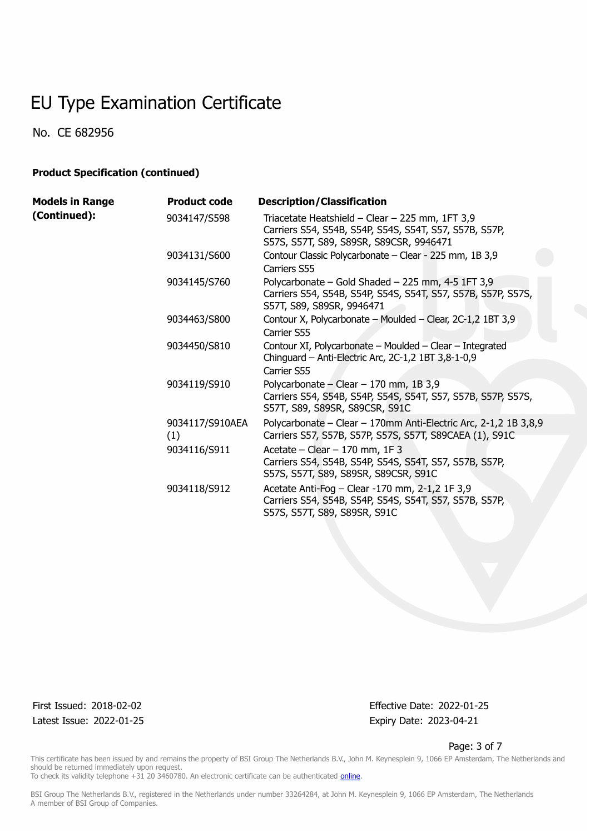No. CE 682956

### **Product Specification (continued)**

| <b>Models in Range</b> | <b>Product code</b>    | <b>Description/Classification</b>                                                                                                                    |
|------------------------|------------------------|------------------------------------------------------------------------------------------------------------------------------------------------------|
| (Continued):           | 9034147/S598           | Triacetate Heatshield - Clear - 225 mm, 1FT 3,9<br>Carriers S54, S54B, S54P, S54S, S54T, S57, S57B, S57P,<br>S57S, S57T, S89, S89SR, S89CSR, 9946471 |
|                        | 9034131/S600           | Contour Classic Polycarbonate - Clear - 225 mm, 1B 3,9<br>Carriers S55                                                                               |
|                        | 9034145/S760           | Polycarbonate - Gold Shaded - 225 mm, 4-5 1FT 3,9<br>Carriers S54, S54B, S54P, S54S, S54T, S57, S57B, S57P, S57S,<br>S57T, S89, S89SR, 9946471       |
|                        | 9034463/S800           | Contour X, Polycarbonate - Moulded - Clear, 2C-1,2 1BT 3,9<br>Carrier S55                                                                            |
|                        | 9034450/S810           | Contour XI, Polycarbonate - Moulded - Clear - Integrated<br>Chinguard - Anti-Electric Arc, 2C-1,2 1BT 3,8-1-0,9                                      |
|                        |                        | Carrier S55                                                                                                                                          |
|                        | 9034119/S910           | Polycarbonate - Clear - 170 mm, 1B 3,9<br>Carriers S54, S54B, S54P, S54S, S54T, S57, S57B, S57P, S57S,<br>S57T, S89, S89SR, S89CSR, S91C             |
|                        | 9034117/S910AEA<br>(1) | Polycarbonate - Clear - 170mm Anti-Electric Arc, 2-1,2 1B 3,8,9<br>Carriers S57, S57B, S57P, S57S, S57T, S89CAEA (1), S91C                           |
|                        | 9034116/S911           | Acetate – Clear – $170$ mm, $1F$ 3<br>Carriers S54, S54B, S54P, S54S, S54T, S57, S57B, S57P,<br>S57S, S57T, S89, S89SR, S89CSR, S91C                 |
|                        | 9034118/S912           | Acetate Anti-Fog - Clear -170 mm, 2-1,2 1F 3,9<br>Carriers S54, S54B, S54P, S54S, S54T, S57, S57B, S57P,<br>S57S, S57T, S89, S89SR, S91C             |

Latest Issue: 2022-01-25 Expiry Date: 2023-04-21

First Issued: 2018-02-02 Effective Date: 2022-01-25

#### Page: 3 of 7

This certificate has been issued by and remains the property of BSI Group The Netherlands B.V., John M. Keynesplein 9, 1066 EP Amsterdam, The Netherlands and should be returned immediately upon request.

To check its validity telephone +31 20 3460780. An electronic certificate can be authenticated *online*.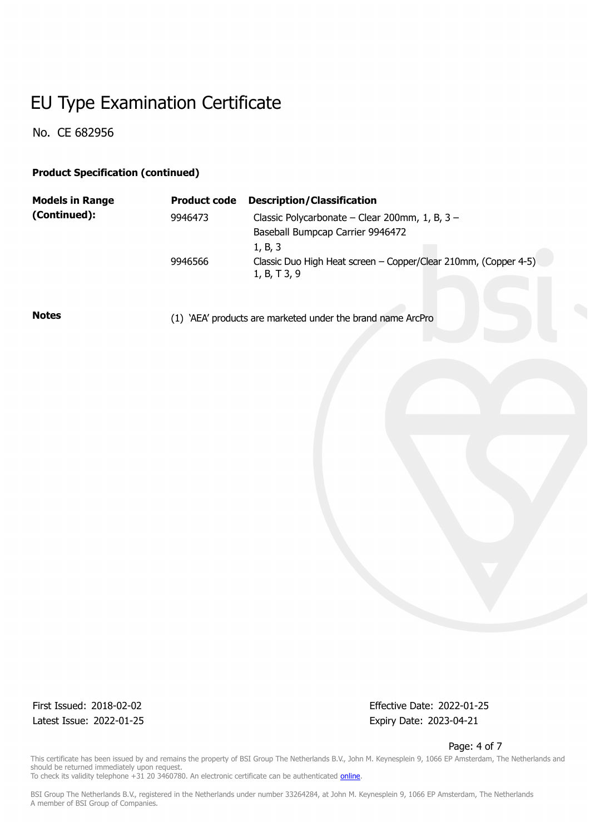No. CE 682956

### **Product Specification (continued)**

| <b>Models in Range</b> | <b>Product code</b> | <b>Description/Classification</b>                                               |
|------------------------|---------------------|---------------------------------------------------------------------------------|
| (Continued):           | 9946473             | Classic Polycarbonate – Clear 200mm, 1, B, $3 -$                                |
|                        |                     | Baseball Bumpcap Carrier 9946472                                                |
|                        |                     | 1, B, 3                                                                         |
|                        | 9946566             | Classic Duo High Heat screen - Copper/Clear 210mm, (Copper 4-5)<br>1, B, T 3, 9 |

**Notes** (1) 'AEA' products are marketed under the brand name ArcPro

Latest Issue: 2022-01-25 Expiry Date: 2023-04-21

First Issued: 2018-02-02 Effective Date: 2022-01-25

Page: 4 of 7

This certificate has been issued by and remains the property of BSI Group The Netherlands B.V., John M. Keynesplein 9, 1066 EP Amsterdam, The Netherlands and should be returned immediately upon request.

To check its validity telephone +31 20 3460780. An electronic certificate can be authenticated *online*.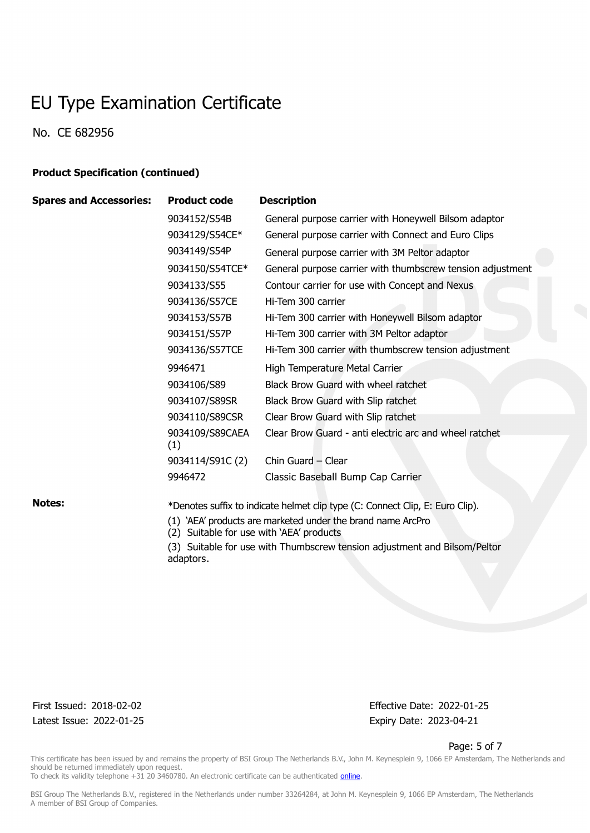No. CE 682956

### **Product Specification (continued)**

| <b>Spares and Accessories:</b> | <b>Product code</b>                                                           | <b>Description</b>                                         |
|--------------------------------|-------------------------------------------------------------------------------|------------------------------------------------------------|
|                                | 9034152/S54B                                                                  | General purpose carrier with Honeywell Bilsom adaptor      |
|                                | 9034129/S54CE*                                                                | General purpose carrier with Connect and Euro Clips        |
|                                | 9034149/S54P                                                                  | General purpose carrier with 3M Peltor adaptor             |
|                                | 9034150/S54TCE*                                                               | General purpose carrier with thumbscrew tension adjustment |
|                                | 9034133/S55                                                                   | Contour carrier for use with Concept and Nexus             |
|                                | 9034136/S57CE                                                                 | Hi-Tem 300 carrier                                         |
|                                | 9034153/S57B                                                                  | Hi-Tem 300 carrier with Honeywell Bilsom adaptor           |
|                                | 9034151/S57P                                                                  | Hi-Tem 300 carrier with 3M Peltor adaptor                  |
|                                | 9034136/S57TCE                                                                | Hi-Tem 300 carrier with thumbscrew tension adjustment      |
|                                | 9946471                                                                       | High Temperature Metal Carrier                             |
|                                | 9034106/S89                                                                   | Black Brow Guard with wheel ratchet                        |
|                                | 9034107/S89SR                                                                 | Black Brow Guard with Slip ratchet                         |
|                                | 9034110/S89CSR                                                                | Clear Brow Guard with Slip ratchet                         |
|                                | 9034109/S89CAEA<br>(1)                                                        | Clear Brow Guard - anti electric arc and wheel ratchet     |
|                                | 9034114/S91C (2)                                                              | Chin Guard - Clear                                         |
|                                | 9946472                                                                       | Classic Baseball Bump Cap Carrier                          |
| <b>Notes:</b>                  | *Denotes suffix to indicate helmet clip type (C: Connect Clip, E: Euro Clip). |                                                            |

(1) 'AEA' products are marketed under the brand name ArcPro

(2) Suitable for use with 'AEA' products

(3) Suitable for use with Thumbscrew tension adjustment and Bilsom/Peltor adaptors.

First Issued: 2018-02-02 Effective Date: 2022-01-25 Latest Issue: 2022-01-25 Expiry Date: 2023-04-21

#### Page: 5 of 7

This certificate has been issued by and remains the property of BSI Group The Netherlands B.V., John M. Keynesplein 9, 1066 EP Amsterdam, The Netherlands and should be returned immediately upon request.

To check its validity telephone +31 20 3460780. An electronic certificate can be authenticated *online*.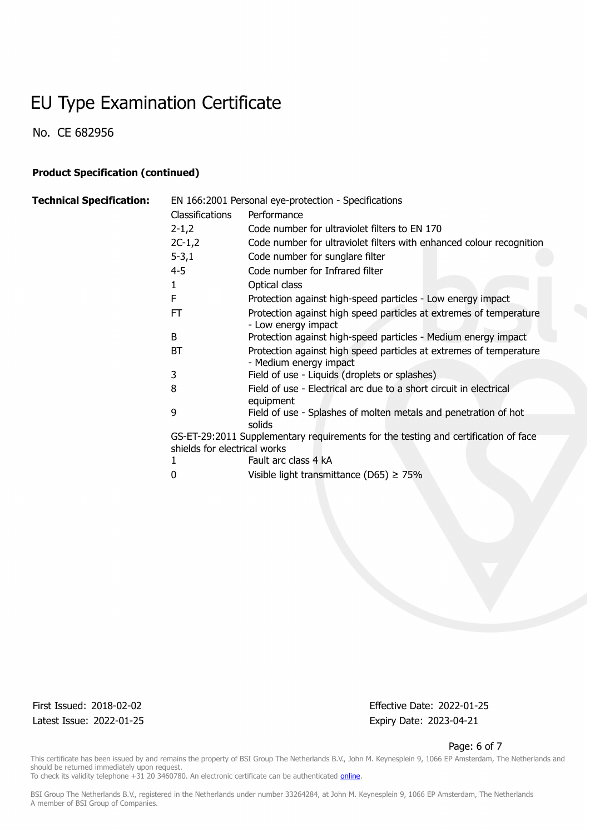No. CE 682956

### **Product Specification (continued)**

| <b>Technical Specification:</b> | EN 166:2001 Personal eye-protection - Specifications |                                                                                              |  |
|---------------------------------|------------------------------------------------------|----------------------------------------------------------------------------------------------|--|
|                                 | <b>Classifications</b>                               | Performance                                                                                  |  |
|                                 | $2 - 1,2$                                            | Code number for ultraviolet filters to EN 170                                                |  |
|                                 | $2C-1,2$                                             | Code number for ultraviolet filters with enhanced colour recognition                         |  |
|                                 | $5 - 3,1$                                            | Code number for sunglare filter                                                              |  |
|                                 | $4 - 5$                                              | Code number for Infrared filter                                                              |  |
|                                 | 1                                                    | Optical class                                                                                |  |
|                                 | F                                                    | Protection against high-speed particles - Low energy impact                                  |  |
|                                 | <b>FT</b>                                            | Protection against high speed particles at extremes of temperature<br>- Low energy impact    |  |
|                                 | B                                                    | Protection against high-speed particles - Medium energy impact                               |  |
|                                 | <b>BT</b>                                            | Protection against high speed particles at extremes of temperature<br>- Medium energy impact |  |
|                                 | 3                                                    | Field of use - Liquids (droplets or splashes)                                                |  |
|                                 | 8                                                    | Field of use - Electrical arc due to a short circuit in electrical<br>equipment              |  |
|                                 | 9                                                    | Field of use - Splashes of molten metals and penetration of hot<br>solids                    |  |
|                                 | shields for electrical works                         | GS-ET-29:2011 Supplementary requirements for the testing and certification of face           |  |
|                                 |                                                      | Fault arc class 4 kA                                                                         |  |
|                                 | 0                                                    | Visible light transmittance (D65) $\geq$ 75%                                                 |  |

Latest Issue: 2022-01-25 Expiry Date: 2023-04-21

First Issued: 2018-02-02 Effective Date: 2022-01-25

#### Page: 6 of 7

This certificate has been issued by and remains the property of BSI Group The Netherlands B.V., John M. Keynesplein 9, 1066 EP Amsterdam, The Netherlands and should be returned immediately upon request. To check its validity telephone +31 20 3460780. An electronic certificate can be authenticated *online*.